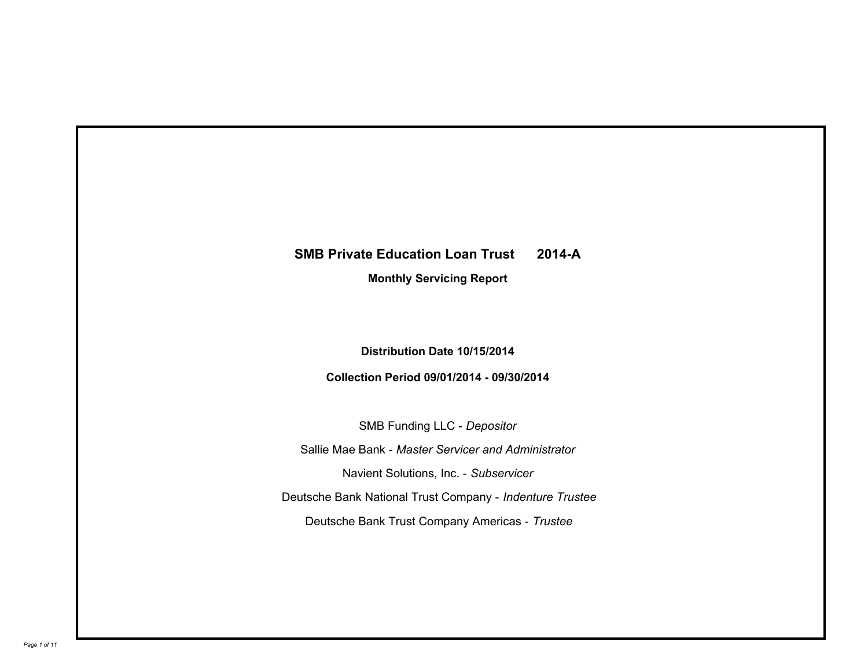## **SMB Private Education Loan Trust 2014-A**

**Monthly Servicing Report**

**Distribution Date 10/15/2014**

**Collection Period 09/01/2014 - 09/30/2014**

SMB Funding LLC - *Depositor* Sallie Mae Bank - *Master Servicer and Administrator* Deutsche Bank National Trust Company - *Indenture Trustee* Deutsche Bank Trust Company Americas - *Trustee* Navient Solutions, Inc. - *Subservicer*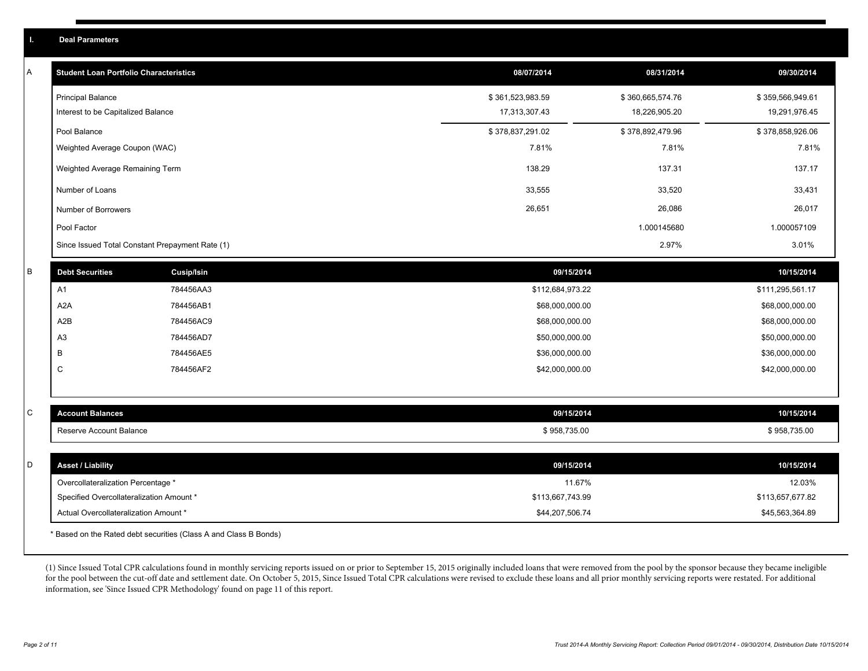| A | <b>Student Loan Portfolio Characteristics</b>   |                   | 08/07/2014       | 08/31/2014       | 09/30/2014       |
|---|-------------------------------------------------|-------------------|------------------|------------------|------------------|
|   | <b>Principal Balance</b>                        |                   | \$361,523,983.59 | \$360,665,574.76 | \$359,566,949.61 |
|   | Interest to be Capitalized Balance              |                   | 17,313,307.43    | 18,226,905.20    | 19,291,976.45    |
|   | Pool Balance                                    |                   | \$378,837,291.02 | \$378,892,479.96 | \$378,858,926.06 |
|   | Weighted Average Coupon (WAC)                   |                   | 7.81%            | 7.81%            | 7.81%            |
|   | Weighted Average Remaining Term                 |                   | 138.29           | 137.31           | 137.17           |
|   | Number of Loans                                 |                   | 33,555           | 33,520           | 33,431           |
|   | Number of Borrowers                             |                   | 26,651           | 26,086           | 26,017           |
|   | Pool Factor                                     |                   |                  | 1.000145680      | 1.000057109      |
|   | Since Issued Total Constant Prepayment Rate (1) |                   |                  | 2.97%            | 3.01%            |
| В | <b>Debt Securities</b>                          | <b>Cusip/Isin</b> | 09/15/2014       |                  | 10/15/2014       |
|   | A1                                              | 784456AA3         | \$112,684,973.22 |                  | \$111,295,561.17 |
|   | A <sub>2</sub> A                                | 784456AB1         | \$68,000,000.00  |                  | \$68,000,000.00  |
|   | A2B                                             | 784456AC9         | \$68,000,000.00  |                  | \$68,000,000.00  |
|   | A <sub>3</sub>                                  | 784456AD7         | \$50,000,000.00  |                  | \$50,000,000.00  |
|   | B                                               | 784456AE5         | \$36,000,000.00  |                  | \$36,000,000.00  |
|   | C                                               | 784456AF2         | \$42,000,000.00  |                  | \$42,000,000.00  |
|   |                                                 |                   |                  |                  |                  |
| С | <b>Account Balances</b>                         |                   | 09/15/2014       |                  | 10/15/2014       |
|   | Reserve Account Balance                         |                   | \$958,735.00     |                  | \$958,735.00     |
|   |                                                 |                   |                  |                  |                  |
| D | <b>Asset / Liability</b>                        |                   | 09/15/2014       |                  | 10/15/2014       |
|   | Overcollateralization Percentage *              |                   | 11.67%           |                  | 12.03%           |
|   | Specified Overcollateralization Amount *        |                   | \$113,667,743.99 |                  | \$113,657,677.82 |
|   | Actual Overcollateralization Amount *           |                   | \$44,207,506.74  |                  | \$45,563,364.89  |
|   |                                                 |                   |                  |                  |                  |

\* Based on the Rated debt securities (Class A and Class B Bonds)

(1) Since Issued Total CPR calculations found in monthly servicing reports issued on or prior to September 15, 2015 originally included loans that were removed from the pool by the sponsor because they became ineligible for the pool between the cut-off date and settlement date. On October 5, 2015, Since Issued Total CPR calculations were revised to exclude these loans and all prior monthly servicing reports were restated. For additional information, see 'Since Issued CPR Methodology' found on page 11 of this report.

**I. Deal Parameters**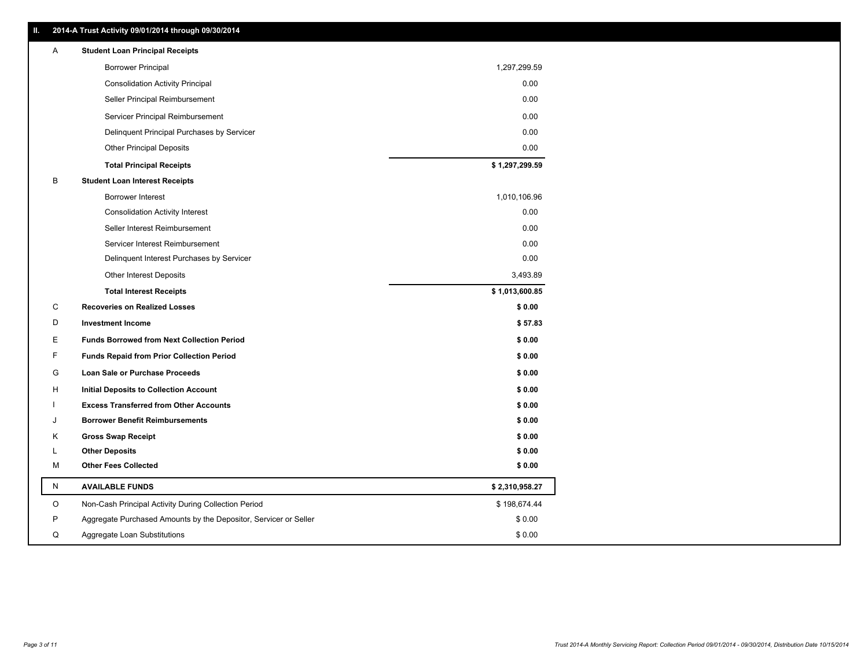| ш | 2014-A Trust Activity 09/01/2014 through 09/30/2014              |                |
|---|------------------------------------------------------------------|----------------|
| A | <b>Student Loan Principal Receipts</b>                           |                |
|   | <b>Borrower Principal</b>                                        | 1,297,299.59   |
|   | <b>Consolidation Activity Principal</b>                          | 0.00           |
|   | Seller Principal Reimbursement                                   | 0.00           |
|   | Servicer Principal Reimbursement                                 | 0.00           |
|   | Delinquent Principal Purchases by Servicer                       | 0.00           |
|   | <b>Other Principal Deposits</b>                                  | 0.00           |
|   | <b>Total Principal Receipts</b>                                  | \$1,297,299.59 |
| В | <b>Student Loan Interest Receipts</b>                            |                |
|   | Borrower Interest                                                | 1,010,106.96   |
|   | <b>Consolidation Activity Interest</b>                           | 0.00           |
|   | Seller Interest Reimbursement                                    | 0.00           |
|   | Servicer Interest Reimbursement                                  | 0.00           |
|   | Delinquent Interest Purchases by Servicer                        | 0.00           |
|   | <b>Other Interest Deposits</b>                                   | 3,493.89       |
|   | <b>Total Interest Receipts</b>                                   | \$1,013,600.85 |
| С | <b>Recoveries on Realized Losses</b>                             | \$0.00         |
| D | <b>Investment Income</b>                                         | \$57.83        |
| Е | <b>Funds Borrowed from Next Collection Period</b>                | \$0.00         |
| F | <b>Funds Repaid from Prior Collection Period</b>                 | \$0.00         |
| G | Loan Sale or Purchase Proceeds                                   | \$0.00         |
| н | <b>Initial Deposits to Collection Account</b>                    | \$0.00         |
|   | <b>Excess Transferred from Other Accounts</b>                    | \$0.00         |
| J | <b>Borrower Benefit Reimbursements</b>                           | \$0.00         |
| Κ | <b>Gross Swap Receipt</b>                                        | \$0.00         |
| L | <b>Other Deposits</b>                                            | \$0.00         |
| M | <b>Other Fees Collected</b>                                      | \$0.00         |
| N | <b>AVAILABLE FUNDS</b>                                           | \$2,310,958.27 |
| O | Non-Cash Principal Activity During Collection Period             | \$198,674.44   |
| P | Aggregate Purchased Amounts by the Depositor, Servicer or Seller | \$0.00         |
| Q | Aggregate Loan Substitutions                                     | \$0.00         |

**II. 2014-A Trust Activity 09/01/2014 through 09/30/2014**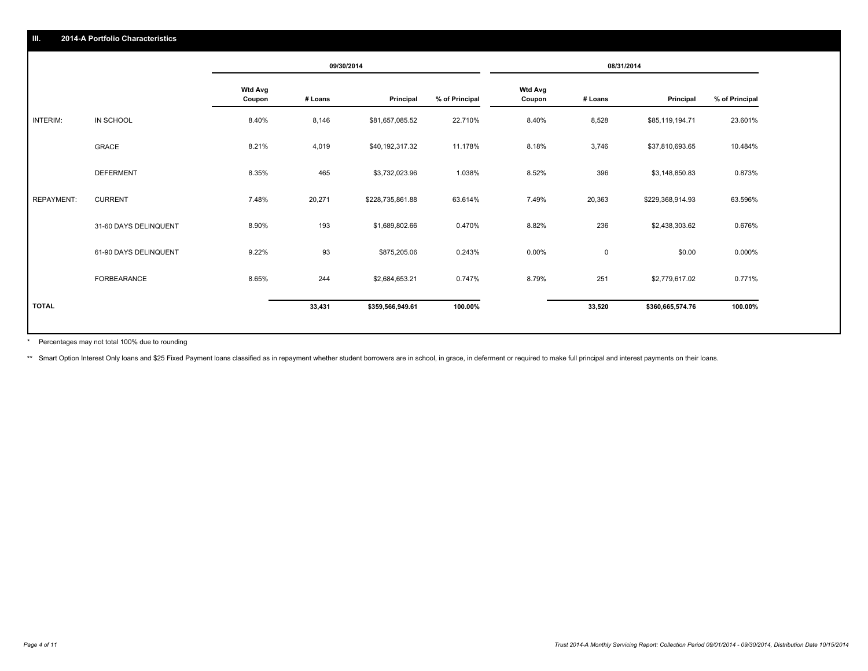|                   |                       |                          | 09/30/2014 |                  |                | 08/31/2014               |             |                  |                |
|-------------------|-----------------------|--------------------------|------------|------------------|----------------|--------------------------|-------------|------------------|----------------|
|                   |                       | <b>Wtd Avg</b><br>Coupon | # Loans    | Principal        | % of Principal | <b>Wtd Avg</b><br>Coupon | # Loans     | Principal        | % of Principal |
| <b>INTERIM:</b>   | IN SCHOOL             | 8.40%                    | 8,146      | \$81,657,085.52  | 22.710%        | 8.40%                    | 8,528       | \$85,119,194.71  | 23.601%        |
|                   | GRACE                 | 8.21%                    | 4,019      | \$40,192,317.32  | 11.178%        | 8.18%                    | 3,746       | \$37,810,693.65  | 10.484%        |
|                   | <b>DEFERMENT</b>      | 8.35%                    | 465        | \$3,732,023.96   | 1.038%         | 8.52%                    | 396         | \$3,148,850.83   | 0.873%         |
| <b>REPAYMENT:</b> | <b>CURRENT</b>        | 7.48%                    | 20,271     | \$228,735,861.88 | 63.614%        | 7.49%                    | 20,363      | \$229,368,914.93 | 63.596%        |
|                   | 31-60 DAYS DELINQUENT | 8.90%                    | 193        | \$1,689,802.66   | 0.470%         | 8.82%                    | 236         | \$2,438,303.62   | 0.676%         |
|                   | 61-90 DAYS DELINQUENT | 9.22%                    | 93         | \$875,205.06     | 0.243%         | $0.00\%$                 | $\mathbf 0$ | \$0.00           | 0.000%         |
|                   | FORBEARANCE           | 8.65%                    | 244        | \$2,684,653.21   | 0.747%         | 8.79%                    | 251         | \$2,779,617.02   | 0.771%         |
| <b>TOTAL</b>      |                       |                          | 33,431     | \$359,566,949.61 | 100.00%        |                          | 33,520      | \$360,665,574.76 | 100.00%        |

Percentages may not total 100% due to rounding \*

\*\* Smart Option Interest Only loans and \$25 Fixed Payment loans classified as in repayment whether student borrowers are in school, in grace, in deferment or required to make full principal and interest payments on their l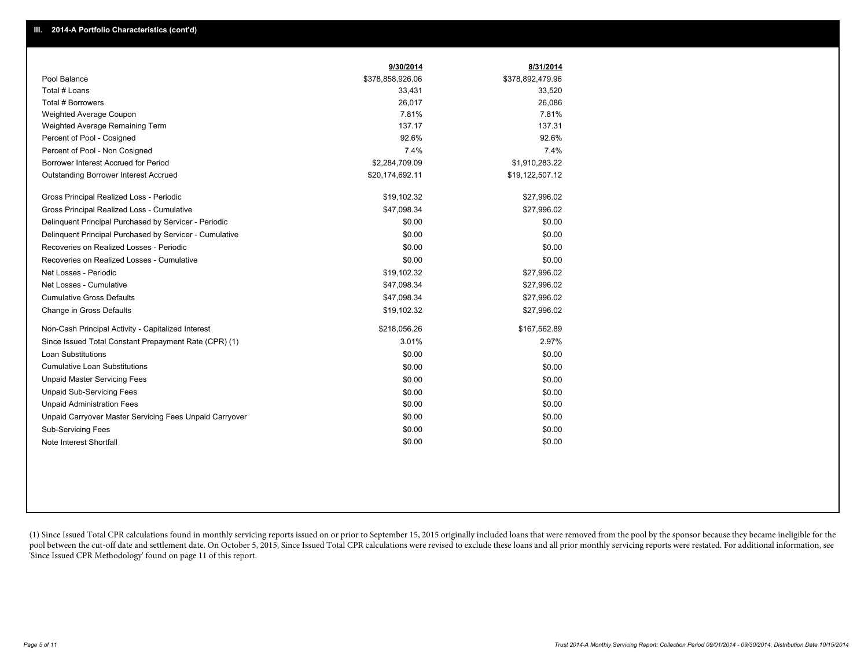|                                                         | 9/30/2014        | 8/31/2014        |
|---------------------------------------------------------|------------------|------------------|
| Pool Balance                                            | \$378,858,926.06 | \$378,892,479.96 |
| Total # Loans                                           | 33,431           | 33,520           |
| <b>Total # Borrowers</b>                                | 26,017           | 26,086           |
| Weighted Average Coupon                                 | 7.81%            | 7.81%            |
| Weighted Average Remaining Term                         | 137.17           | 137.31           |
| Percent of Pool - Cosigned                              | 92.6%            | 92.6%            |
| Percent of Pool - Non Cosigned                          | 7.4%             | 7.4%             |
| Borrower Interest Accrued for Period                    | \$2,284,709.09   | \$1,910,283.22   |
| Outstanding Borrower Interest Accrued                   | \$20,174,692.11  | \$19,122,507.12  |
| Gross Principal Realized Loss - Periodic                | \$19,102.32      | \$27,996.02      |
| Gross Principal Realized Loss - Cumulative              | \$47,098.34      | \$27,996.02      |
| Delinguent Principal Purchased by Servicer - Periodic   | \$0.00           | \$0.00           |
| Delinquent Principal Purchased by Servicer - Cumulative | \$0.00           | \$0.00           |
| Recoveries on Realized Losses - Periodic                | \$0.00           | \$0.00           |
| Recoveries on Realized Losses - Cumulative              | \$0.00           | \$0.00           |
| Net Losses - Periodic                                   | \$19,102.32      | \$27,996.02      |
| Net Losses - Cumulative                                 | \$47,098.34      | \$27,996.02      |
| <b>Cumulative Gross Defaults</b>                        | \$47,098.34      | \$27,996.02      |
| Change in Gross Defaults                                | \$19,102.32      | \$27,996.02      |
| Non-Cash Principal Activity - Capitalized Interest      | \$218,056.26     | \$167,562.89     |
| Since Issued Total Constant Prepayment Rate (CPR) (1)   | 3.01%            | 2.97%            |
| <b>Loan Substitutions</b>                               | \$0.00           | \$0.00           |
| <b>Cumulative Loan Substitutions</b>                    | \$0.00           | \$0.00           |
| <b>Unpaid Master Servicing Fees</b>                     | \$0.00           | \$0.00           |
| <b>Unpaid Sub-Servicing Fees</b>                        | \$0.00           | \$0.00           |
| <b>Unpaid Administration Fees</b>                       | \$0.00           | \$0.00           |
| Unpaid Carryover Master Servicing Fees Unpaid Carryover | \$0.00           | \$0.00           |
| <b>Sub-Servicing Fees</b>                               | \$0.00           | \$0.00           |
| Note Interest Shortfall                                 | \$0.00           | \$0.00           |

(1) Since Issued Total CPR calculations found in monthly servicing reports issued on or prior to September 15, 2015 originally included loans that were removed from the pool by the sponsor because they became ineligible fo pool between the cut-off date and settlement date. On October 5, 2015, Since Issued Total CPR calculations were revised to exclude these loans and all prior monthly servicing reports were restated. For additional informati 'Since Issued CPR Methodology' found on page 11 of this report.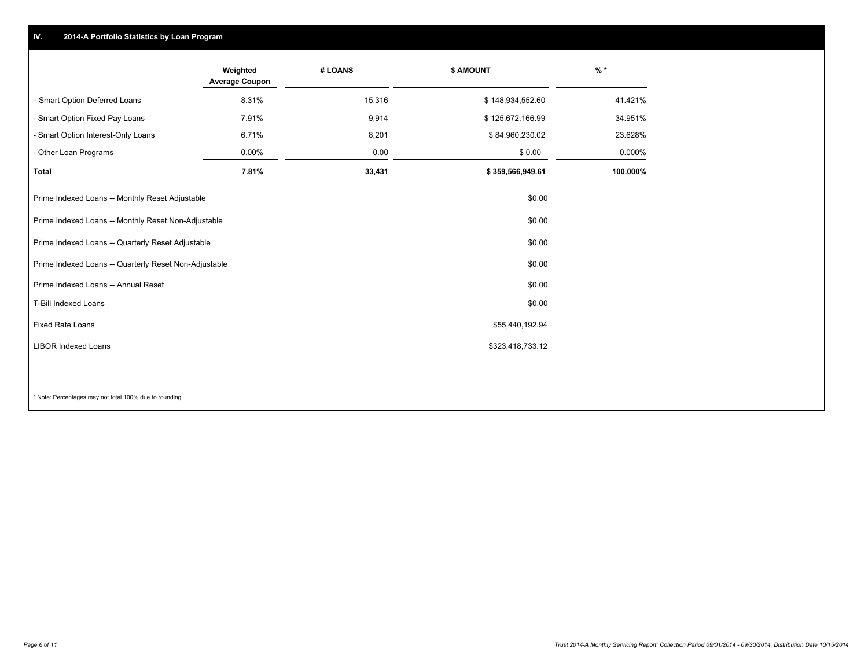## **IV. 2014-A Portfolio Statistics by Loan Program**

|                                                       | Weighted<br><b>Average Coupon</b> | # LOANS | \$ AMOUNT        | $\frac{9}{6}$ * |
|-------------------------------------------------------|-----------------------------------|---------|------------------|-----------------|
| - Smart Option Deferred Loans                         | 8.31%                             | 15,316  | \$148,934,552.60 | 41.421%         |
| - Smart Option Fixed Pay Loans                        | 7.91%                             | 9,914   | \$125,672,166.99 | 34.951%         |
| - Smart Option Interest-Only Loans                    | 6.71%                             | 8,201   | \$84,960,230.02  | 23.628%         |
| - Other Loan Programs                                 | $0.00\%$                          | 0.00    | \$0.00           | 0.000%          |
| <b>Total</b>                                          | 7.81%                             | 33,431  | \$359,566,949.61 | 100.000%        |
| Prime Indexed Loans -- Monthly Reset Adjustable       |                                   |         | \$0.00           |                 |
| Prime Indexed Loans -- Monthly Reset Non-Adjustable   |                                   |         | \$0.00           |                 |
| Prime Indexed Loans -- Quarterly Reset Adjustable     |                                   |         | \$0.00           |                 |
| Prime Indexed Loans -- Quarterly Reset Non-Adjustable |                                   |         | \$0.00           |                 |
| Prime Indexed Loans -- Annual Reset                   |                                   |         | \$0.00           |                 |
| T-Bill Indexed Loans                                  |                                   |         | \$0.00           |                 |
| <b>Fixed Rate Loans</b>                               |                                   |         | \$55,440,192.94  |                 |
| <b>LIBOR Indexed Loans</b>                            |                                   |         | \$323,418,733.12 |                 |
|                                                       |                                   |         |                  |                 |

\* Note: Percentages may not total 100% due to rounding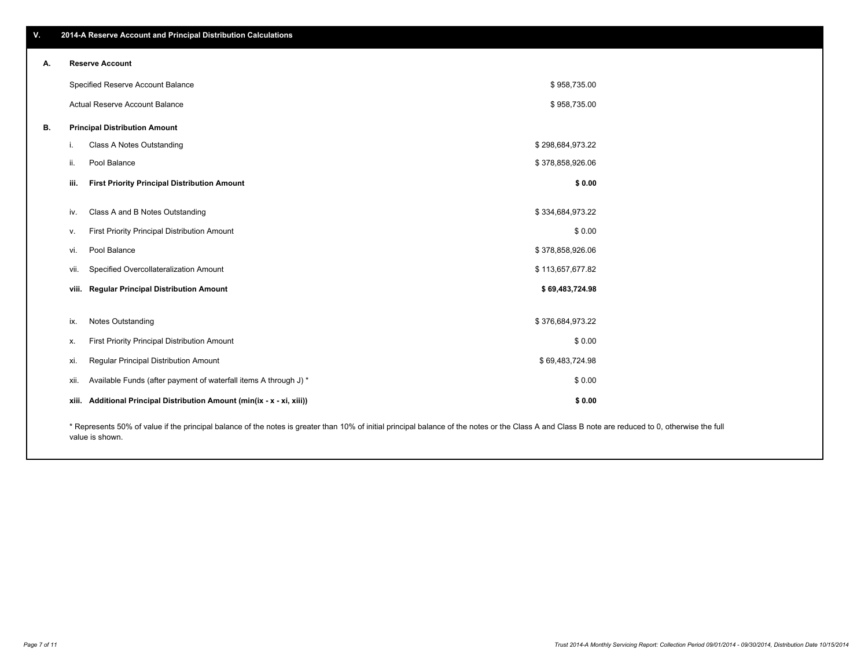| w. | ↓ 2014-A Reserve Account and Principal Distribution Calculations \ |
|----|--------------------------------------------------------------------|
|    |                                                                    |

| А. | <b>Reserve Account</b>                                                                                                                                                                             |                                                                   |                  |  |  |
|----|----------------------------------------------------------------------------------------------------------------------------------------------------------------------------------------------------|-------------------------------------------------------------------|------------------|--|--|
|    | Specified Reserve Account Balance                                                                                                                                                                  |                                                                   | \$958,735.00     |  |  |
|    |                                                                                                                                                                                                    | Actual Reserve Account Balance                                    | \$958,735.00     |  |  |
| В. | <b>Principal Distribution Amount</b>                                                                                                                                                               |                                                                   |                  |  |  |
|    | L.                                                                                                                                                                                                 | Class A Notes Outstanding                                         | \$298,684,973.22 |  |  |
|    | ii.                                                                                                                                                                                                | Pool Balance                                                      | \$378,858,926.06 |  |  |
|    | iii.                                                                                                                                                                                               | <b>First Priority Principal Distribution Amount</b>               | \$0.00           |  |  |
|    | IV.                                                                                                                                                                                                | Class A and B Notes Outstanding                                   | \$334,684,973.22 |  |  |
|    | v.                                                                                                                                                                                                 | First Priority Principal Distribution Amount                      | \$0.00           |  |  |
|    | vi.                                                                                                                                                                                                | Pool Balance                                                      | \$378,858,926.06 |  |  |
|    | VII.                                                                                                                                                                                               | Specified Overcollateralization Amount                            | \$113,657,677.82 |  |  |
|    |                                                                                                                                                                                                    | viii. Regular Principal Distribution Amount                       | \$69,483,724.98  |  |  |
|    | ix.                                                                                                                                                                                                | Notes Outstanding                                                 | \$376,684,973.22 |  |  |
|    | х.                                                                                                                                                                                                 | First Priority Principal Distribution Amount                      | \$0.00           |  |  |
|    | xi.                                                                                                                                                                                                | Regular Principal Distribution Amount                             | \$69,483,724.98  |  |  |
|    | XII.                                                                                                                                                                                               | Available Funds (after payment of waterfall items A through J) *  | \$0.00           |  |  |
|    | xiii.                                                                                                                                                                                              | Additional Principal Distribution Amount (min(ix - x - xi, xiii)) | \$0.00           |  |  |
|    | * Represents 50% of value if the principal balance of the notes is greater than 10% of initial principal balance of the notes or the Class A and Class B note are reduced to 0, otherwise the full |                                                                   |                  |  |  |

value is shown.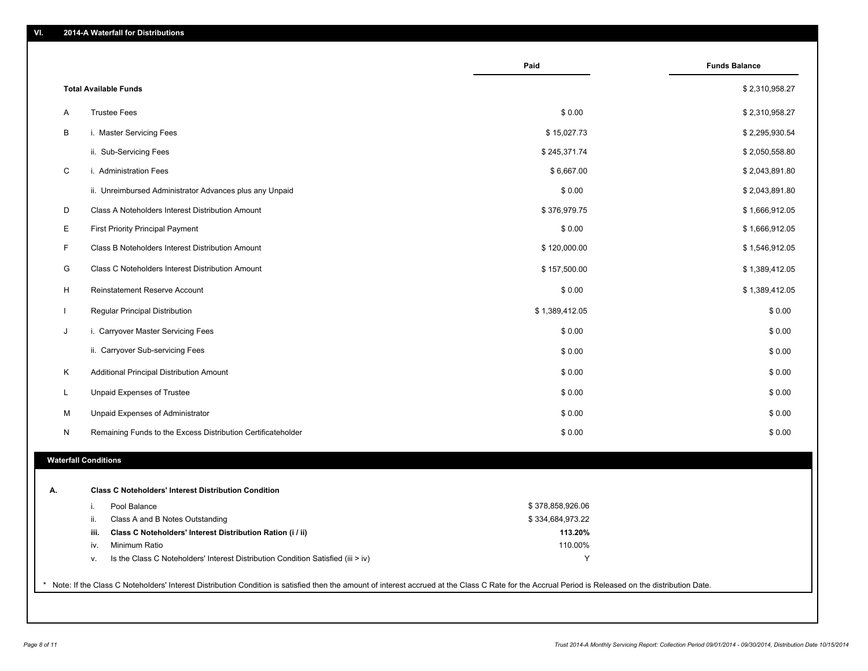|    |                                                                                        | Paid             | <b>Funds Balance</b> |
|----|----------------------------------------------------------------------------------------|------------------|----------------------|
|    | <b>Total Available Funds</b>                                                           |                  | \$2,310,958.27       |
| Α  | <b>Trustee Fees</b>                                                                    | \$0.00           | \$2,310,958.27       |
| В  | i. Master Servicing Fees                                                               | \$15,027.73      | \$2,295,930.54       |
|    | ii. Sub-Servicing Fees                                                                 | \$245,371.74     | \$2,050,558.80       |
| С  | i. Administration Fees                                                                 | \$6,667.00       | \$2,043,891.80       |
|    | ii. Unreimbursed Administrator Advances plus any Unpaid                                | \$0.00           | \$2,043,891.80       |
| D  | Class A Noteholders Interest Distribution Amount                                       | \$376,979.75     | \$1,666,912.05       |
| Ε  | <b>First Priority Principal Payment</b>                                                | \$0.00           | \$1,666,912.05       |
| F  | Class B Noteholders Interest Distribution Amount                                       | \$120,000.00     | \$1,546,912.05       |
| G  | Class C Noteholders Interest Distribution Amount                                       | \$157,500.00     | \$1,389,412.05       |
| H  | Reinstatement Reserve Account                                                          | \$0.00           | \$1,389,412.05       |
|    | Regular Principal Distribution                                                         | \$1,389,412.05   | \$0.00               |
| J  | i. Carryover Master Servicing Fees                                                     | \$0.00           | \$0.00               |
|    | ii. Carryover Sub-servicing Fees                                                       | \$0.00           | \$0.00               |
| Κ  | Additional Principal Distribution Amount                                               | \$0.00           | \$0.00               |
| L  | Unpaid Expenses of Trustee                                                             | \$0.00           | \$0.00               |
| М  | Unpaid Expenses of Administrator                                                       | \$0.00           | \$0.00               |
| N  | Remaining Funds to the Excess Distribution Certificateholder                           | \$0.00           | \$0.00               |
|    | <b>Waterfall Conditions</b>                                                            |                  |                      |
|    |                                                                                        |                  |                      |
| А. | <b>Class C Noteholders' Interest Distribution Condition</b>                            |                  |                      |
|    | Pool Balance<br>i.                                                                     | \$378,858,926.06 |                      |
|    | Class A and B Notes Outstanding<br>ii.                                                 | \$334,684,973.22 |                      |
|    | Class C Noteholders' Interest Distribution Ration (i / ii)<br>iii.                     | 113.20%          |                      |
|    | Minimum Ratio<br>iv.                                                                   | 110.00%          |                      |
|    | Is the Class C Noteholders' Interest Distribution Condition Satisfied (iii > iv)<br>v. | Y                |                      |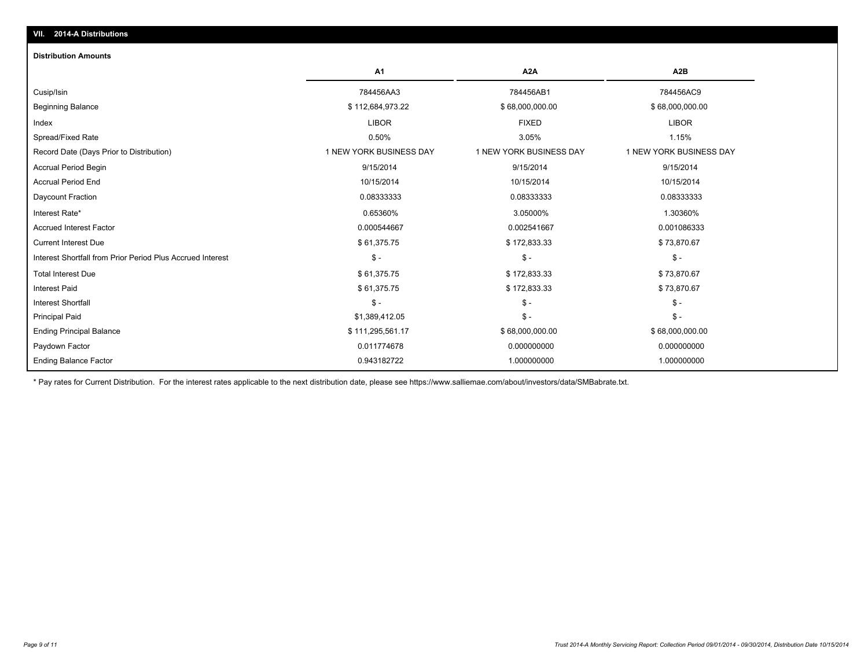| <b>Distribution Amounts</b>                                |                         |                         |                         |
|------------------------------------------------------------|-------------------------|-------------------------|-------------------------|
|                                                            | <b>A1</b>               | A <sub>2</sub> A        | A2B                     |
| Cusip/Isin                                                 | 784456AA3               | 784456AB1               | 784456AC9               |
| <b>Beginning Balance</b>                                   | \$112,684,973.22        | \$68,000,000.00         | \$68,000,000.00         |
| Index                                                      | <b>LIBOR</b>            | <b>FIXED</b>            | <b>LIBOR</b>            |
| Spread/Fixed Rate                                          | 0.50%                   | 3.05%                   | 1.15%                   |
| Record Date (Days Prior to Distribution)                   | 1 NEW YORK BUSINESS DAY | 1 NEW YORK BUSINESS DAY | 1 NEW YORK BUSINESS DAY |
| <b>Accrual Period Begin</b>                                | 9/15/2014               | 9/15/2014               | 9/15/2014               |
| <b>Accrual Period End</b>                                  | 10/15/2014              | 10/15/2014              | 10/15/2014              |
| Daycount Fraction                                          | 0.08333333              | 0.08333333              | 0.08333333              |
| Interest Rate*                                             | 0.65360%                | 3.05000%                | 1.30360%                |
| <b>Accrued Interest Factor</b>                             | 0.000544667             | 0.002541667             | 0.001086333             |
| <b>Current Interest Due</b>                                | \$61,375.75             | \$172,833.33            | \$73,870.67             |
| Interest Shortfall from Prior Period Plus Accrued Interest | $\mathsf{\$}$ -         | $\mathsf{\$}$ -         | $\frac{2}{3}$ -         |
| <b>Total Interest Due</b>                                  | \$61,375.75             | \$172,833.33            | \$73,870.67             |
| <b>Interest Paid</b>                                       | \$61,375.75             | \$172,833.33            | \$73,870.67             |
| <b>Interest Shortfall</b>                                  | $S -$                   | $\mathsf{\$}$ -         | $\mathsf{\$}$ -         |
| <b>Principal Paid</b>                                      | \$1,389,412.05          | $\mathsf{\$}$ -         | $\mathsf{\$}$ -         |
| <b>Ending Principal Balance</b>                            | \$111,295,561.17        | \$68,000,000.00         | \$68,000,000.00         |
| Paydown Factor                                             | 0.011774678             | 0.000000000             | 0.000000000             |
| <b>Ending Balance Factor</b>                               | 0.943182722             | 1.000000000             | 1.000000000             |

\* Pay rates for Current Distribution. For the interest rates applicable to the next distribution date, please see https://www.salliemae.com/about/investors/data/SMBabrate.txt.

**VII. 2014-A Distributions**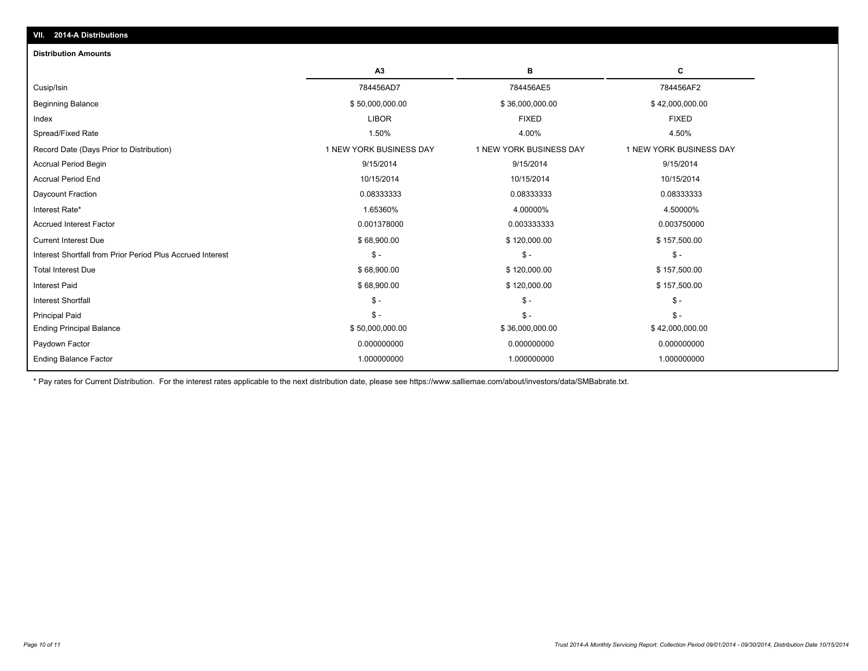| VII. 2014-A Distributions                                  |                         |                         |                         |  |  |  |
|------------------------------------------------------------|-------------------------|-------------------------|-------------------------|--|--|--|
| <b>Distribution Amounts</b>                                |                         |                         |                         |  |  |  |
|                                                            | A3                      | в                       | C                       |  |  |  |
| Cusip/Isin                                                 | 784456AD7               | 784456AE5               | 784456AF2               |  |  |  |
| <b>Beginning Balance</b>                                   | \$50,000,000.00         | \$36,000,000.00         | \$42,000,000.00         |  |  |  |
| Index                                                      | <b>LIBOR</b>            | <b>FIXED</b>            | <b>FIXED</b>            |  |  |  |
| Spread/Fixed Rate                                          | 1.50%                   | 4.00%                   | 4.50%                   |  |  |  |
| Record Date (Days Prior to Distribution)                   | 1 NEW YORK BUSINESS DAY | 1 NEW YORK BUSINESS DAY | 1 NEW YORK BUSINESS DAY |  |  |  |
| <b>Accrual Period Begin</b>                                | 9/15/2014               | 9/15/2014               | 9/15/2014               |  |  |  |
| <b>Accrual Period End</b>                                  | 10/15/2014              | 10/15/2014              | 10/15/2014              |  |  |  |
| Daycount Fraction                                          | 0.08333333              | 0.08333333              | 0.08333333              |  |  |  |
| Interest Rate*                                             | 1.65360%                | 4.00000%                | 4.50000%                |  |  |  |
| <b>Accrued Interest Factor</b>                             | 0.001378000             | 0.003333333             | 0.003750000             |  |  |  |
| <b>Current Interest Due</b>                                | \$68,900.00             | \$120,000.00            | \$157,500.00            |  |  |  |
| Interest Shortfall from Prior Period Plus Accrued Interest | $\mathsf{\$}$ -         | $S -$                   | $\frac{2}{3}$ -         |  |  |  |
| <b>Total Interest Due</b>                                  | \$68,900.00             | \$120,000.00            | \$157,500.00            |  |  |  |
| <b>Interest Paid</b>                                       | \$68,900.00             | \$120,000.00            | \$157,500.00            |  |  |  |
| <b>Interest Shortfall</b>                                  | $\mathsf{\$}$ -         | $\mathsf{\$}$ -         | $\mathsf{\$}$ -         |  |  |  |
| <b>Principal Paid</b>                                      | $\mathsf{\$}$ -         | $S -$                   | $S -$                   |  |  |  |
| <b>Ending Principal Balance</b>                            | \$50,000,000.00         | \$36,000,000.00         | \$42,000,000.00         |  |  |  |
| Paydown Factor                                             | 0.000000000             | 0.000000000             | 0.000000000             |  |  |  |
| <b>Ending Balance Factor</b>                               | 1.000000000             | 1.000000000             | 1.000000000             |  |  |  |

\* Pay rates for Current Distribution. For the interest rates applicable to the next distribution date, please see https://www.salliemae.com/about/investors/data/SMBabrate.txt.